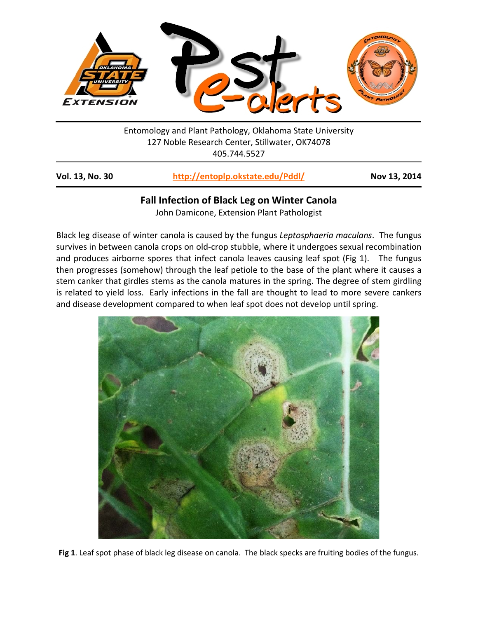

Entomology and Plant Pathology, Oklahoma State University 127 Noble Research Center, Stillwater, OK74078 405.744.5527

**Vol. 13, No. 30 <http://entoplp.okstate.edu/Pddl/> Nov 13, 2014**

## **Fall Infection of Black Leg on Winter Canola**

John Damicone, Extension Plant Pathologist

Black leg disease of winter canola is caused by the fungus *Leptosphaeria maculans*. The fungus survives in between canola crops on old-crop stubble, where it undergoes sexual recombination and produces airborne spores that infect canola leaves causing leaf spot (Fig 1). The fungus then progresses (somehow) through the leaf petiole to the base of the plant where it causes a stem canker that girdles stems as the canola matures in the spring. The degree of stem girdling is related to yield loss. Early infections in the fall are thought to lead to more severe cankers and disease development compared to when leaf spot does not develop until spring.



**Fig 1**. Leaf spot phase of black leg disease on canola. The black specks are fruiting bodies of the fungus.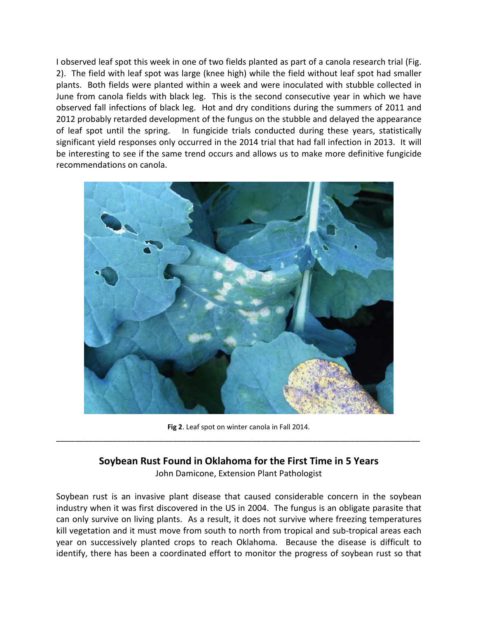I observed leaf spot this week in one of two fields planted as part of a canola research trial (Fig. 2). The field with leaf spot was large (knee high) while the field without leaf spot had smaller plants. Both fields were planted within a week and were inoculated with stubble collected in June from canola fields with black leg. This is the second consecutive year in which we have observed fall infections of black leg. Hot and dry conditions during the summers of 2011 and 2012 probably retarded development of the fungus on the stubble and delayed the appearance of leaf spot until the spring. In fungicide trials conducted during these years, statistically significant yield responses only occurred in the 2014 trial that had fall infection in 2013. It will be interesting to see if the same trend occurs and allows us to make more definitive fungicide recommendations on canola.



**Fig 2**. Leaf spot on winter canola in Fall 2014. \_\_\_\_\_\_\_\_\_\_\_\_\_\_\_\_\_\_\_\_\_\_\_\_\_\_\_\_\_\_\_\_\_\_\_\_\_\_\_\_\_\_\_\_\_\_\_\_\_\_\_\_\_\_\_\_\_\_\_\_\_\_\_\_\_\_\_\_\_\_\_\_\_\_\_\_\_\_

## **Soybean Rust Found in Oklahoma for the First Time in 5 Years**

John Damicone, Extension Plant Pathologist

Soybean rust is an invasive plant disease that caused considerable concern in the soybean industry when it was first discovered in the US in 2004. The fungus is an obligate parasite that can only survive on living plants. As a result, it does not survive where freezing temperatures kill vegetation and it must move from south to north from tropical and sub-tropical areas each year on successively planted crops to reach Oklahoma. Because the disease is difficult to identify, there has been a coordinated effort to monitor the progress of soybean rust so that